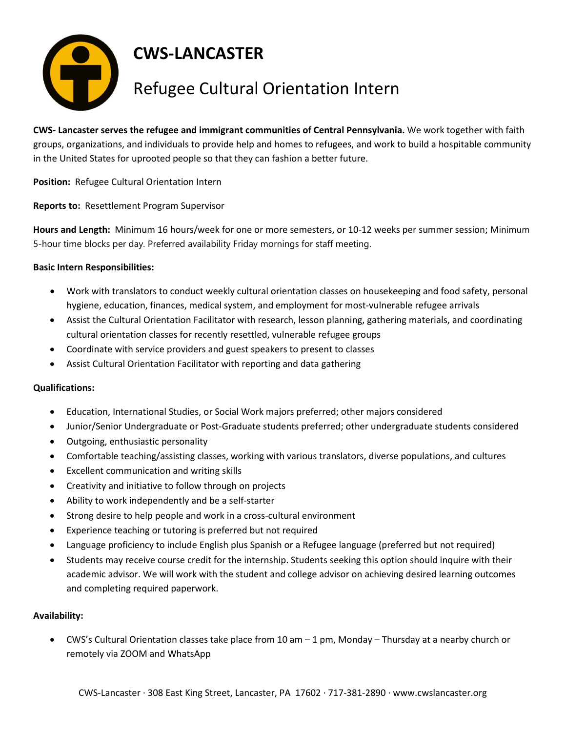

# **CWS-LANCASTER**

# Refugee Cultural Orientation Intern

**CWS- Lancaster serves the refugee and immigrant communities of Central Pennsylvania.** We work together with faith groups, organizations, and individuals to provide help and homes to refugees, and work to build a hospitable community in the United States for uprooted people so that they can fashion a better future.

**Position:** Refugee Cultural Orientation Intern

**Reports to:** Resettlement Program Supervisor

**Hours and Length:** Minimum 16 hours/week for one or more semesters, or 10-12 weeks per summer session; Minimum 5-hour time blocks per day. Preferred availability Friday mornings for staff meeting.

## **Basic Intern Responsibilities:**

- Work with translators to conduct weekly cultural orientation classes on housekeeping and food safety, personal hygiene, education, finances, medical system, and employment for most-vulnerable refugee arrivals
- Assist the Cultural Orientation Facilitator with research, lesson planning, gathering materials, and coordinating cultural orientation classes for recently resettled, vulnerable refugee groups
- Coordinate with service providers and guest speakers to present to classes
- Assist Cultural Orientation Facilitator with reporting and data gathering

### **Qualifications:**

- Education, International Studies, or Social Work majors preferred; other majors considered
- Junior/Senior Undergraduate or Post-Graduate students preferred; other undergraduate students considered
- Outgoing, enthusiastic personality
- Comfortable teaching/assisting classes, working with various translators, diverse populations, and cultures
- Excellent communication and writing skills
- Creativity and initiative to follow through on projects
- Ability to work independently and be a self-starter
- Strong desire to help people and work in a cross-cultural environment
- Experience teaching or tutoring is preferred but not required
- Language proficiency to include English plus Spanish or a Refugee language (preferred but not required)
- Students may receive course credit for the internship. Students seeking this option should inquire with their academic advisor. We will work with the student and college advisor on achieving desired learning outcomes and completing required paperwork.

### **Availability:**

• CWS's Cultural Orientation classes take place from 10 am – 1 pm, Monday – Thursday at a nearby church or remotely via ZOOM and WhatsApp